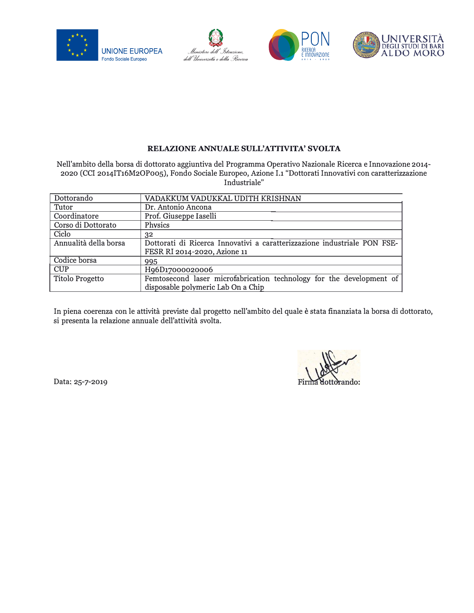







#### **RELAZIONE ANNUALE SULL'ATTIVITA' SVOLTA**

Nell'ambito della borsa di dottorato aggiuntiva del Programma Operativo Nazionale Ricerca e Innovazione 2014- 2020 (CCI 2014IT16M2OP005), Fondo Sociale Europeo, Azione I.1 "Dottorati Innovativi con caratterizzazione Industriale"

| Dottorando            | VADAKKUM VADUKKAL UDITH KRISHNAN                                         |
|-----------------------|--------------------------------------------------------------------------|
| Tutor                 | Dr. Antonio Ancona                                                       |
| Coordinatore          | Prof. Giuseppe Iaselli                                                   |
| Corso di Dottorato    | Physics                                                                  |
| Ciclo                 | 32                                                                       |
| Annualità della borsa | Dottorati di Ricerca Innovativi a caratterizzazione industriale PON FSE- |
|                       | FESR RI 2014-2020, Azione 11                                             |
| Codice borsa          | 995                                                                      |
| <b>CUP</b>            | H96D17000020006                                                          |
| Titolo Progetto       | Femtosecond laser microfabrication technology for the development of     |
|                       | disposable polymeric Lab On a Chip                                       |

In piena coerenza con le attività previste dal progetto nell'ambito del quale è stata finanziata la borsa di dottorato, si presenta la relazione annuale dell'attività svolta.

dottorando:

Data: 25-7-2019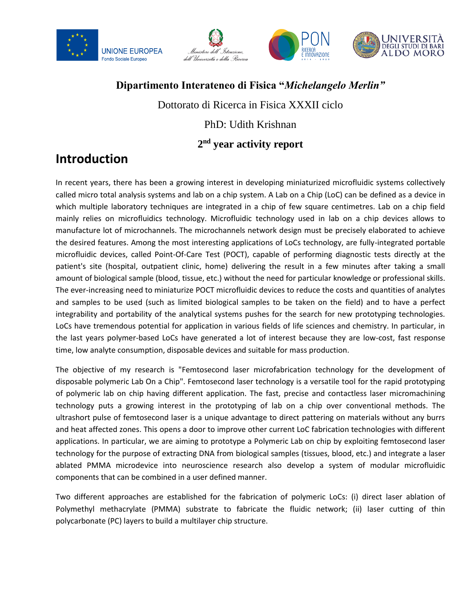





# **Dipartimento Interateneo di Fisica "***Michelangelo Merlin"*

Dottorato di Ricerca in Fisica XXXII ciclo PhD: Udith Krishnan **2 nd year activity report**

# **Introduction**

In recent years, there has been a growing interest in developing miniaturized microfluidic systems collectively called micro total analysis systems and lab on a chip system. A Lab on a Chip (LoC) can be defined as a device in which multiple laboratory techniques are integrated in a chip of few square centimetres. Lab on a chip field mainly relies on microfluidics technology. Microfluidic technology used in lab on a chip devices allows to manufacture lot of microchannels. The microchannels network design must be precisely elaborated to achieve the desired features. Among the most interesting applications of LoCs technology, are fully-integrated portable microfluidic devices, called Point-Of-Care Test (POCT), capable of performing diagnostic tests directly at the patient's site (hospital, outpatient clinic, home) delivering the result in a few minutes after taking a small amount of biological sample (blood, tissue, etc.) without the need for particular knowledge or professional skills. The ever-increasing need to miniaturize POCT microfluidic devices to reduce the costs and quantities of analytes and samples to be used (such as limited biological samples to be taken on the field) and to have a perfect integrability and portability of the analytical systems pushes for the search for new prototyping technologies. LoCs have tremendous potential for application in various fields of life sciences and chemistry. In particular, in the last years polymer-based LoCs have generated a lot of interest because they are low-cost, fast response time, low analyte consumption, disposable devices and suitable for mass production.

The objective of my research is "Femtosecond laser microfabrication technology for the development of disposable polymeric Lab On a Chip". Femtosecond laser technology is a versatile tool for the rapid prototyping of polymeric lab on chip having different application. The fast, precise and contactless laser micromachining technology puts a growing interest in the prototyping of lab on a chip over conventional methods. The ultrashort pulse of femtosecond laser is a unique advantage to direct pattering on materials without any burrs and heat affected zones. This opens a door to improve other current LoC fabrication technologies with different applications. In particular, we are aiming to prototype a Polymeric Lab on chip by exploiting femtosecond laser technology for the purpose of extracting DNA from biological samples (tissues, blood, etc.) and integrate a laser ablated PMMA microdevice into neuroscience research also develop a system of modular microfluidic components that can be combined in a user defined manner.

Two different approaches are established for the fabrication of polymeric LoCs: (i) direct laser ablation of Polymethyl methacrylate (PMMA) substrate to fabricate the fluidic network; (ii) laser cutting of thin polycarbonate (PC) layers to build a multilayer chip structure.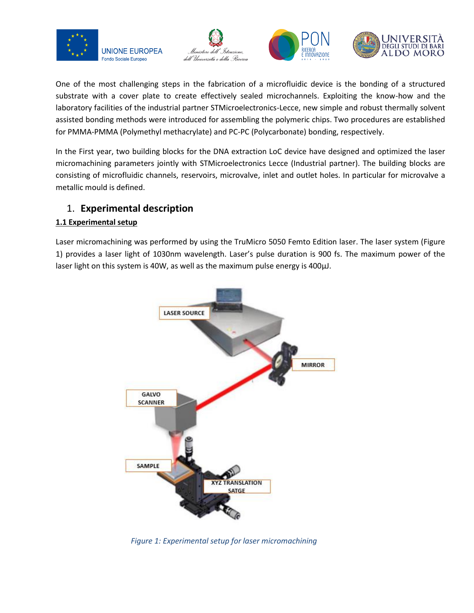







One of the most challenging steps in the fabrication of a microfluidic device is the bonding of a structured substrate with a cover plate to create effectively sealed microchannels. Exploiting the know-how and the laboratory facilities of the industrial partner STMicroelectronics-Lecce, new simple and robust thermally solvent assisted bonding methods were introduced for assembling the polymeric chips. Two procedures are established for PMMA-PMMA (Polymethyl methacrylate) and PC-PC (Polycarbonate) bonding, respectively.

In the First year, two building blocks for the DNA extraction LoC device have designed and optimized the laser micromachining parameters jointly with STMicroelectronics Lecce (Industrial partner). The building blocks are consisting of microfluidic channels, reservoirs, microvalve, inlet and outlet holes. In particular for microvalve a metallic mould is defined.

# 1. **Experimental description**

### **1.1 Experimental setup**

Laser micromachining was performed by using the TruMicro 5050 Femto Edition laser. The laser system (Figure 1) provides a laser light of 1030nm wavelength. Laser's pulse duration is 900 fs. The maximum power of the laser light on this system is 40W, as well as the maximum pulse energy is 400μJ.



 *Figure 1: Experimental setup for laser micromachining*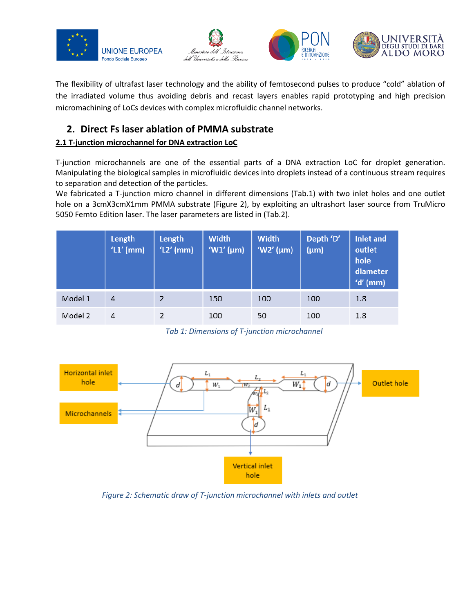







The flexibility of ultrafast laser technology and the ability of femtosecond pulses to produce "cold" ablation of the irradiated volume thus avoiding debris and recast layers enables rapid prototyping and high precision micromachining of LoCs devices with complex microfluidic channel networks.

# **2. Direct Fs laser ablation of PMMA substrate**

### **2.1 T-junction microchannel for DNA extraction LoC**

T-junction microchannels are one of the essential parts of a DNA extraction LoC for droplet generation. Manipulating the biological samples in microfluidic devices into droplets instead of a continuous stream requires to separation and detection of the particles.

We fabricated a T-junction micro channel in different dimensions (Tab.1) with two inlet holes and one outlet hole on a 3cmX3cmX1mm PMMA substrate (Figure 2), by exploiting an ultrashort laser source from TruMicro 5050 Femto Edition laser. The laser parameters are listed in (Tab.2).

|         | Length<br>' $11'$ (mm) | Length<br>$'L2'$ (mm) | <b>Width</b><br>$W1'$ (µm) | <b>Width</b><br>'W2' $(\mu m)$ | Depth 'D'<br>$(\mu m)$ | <b>Inlet and</b><br>outlet<br>hole<br>diameter<br>$'d'$ (mm) |
|---------|------------------------|-----------------------|----------------------------|--------------------------------|------------------------|--------------------------------------------------------------|
| Model 1 | 4                      |                       | 150                        | 100                            | 100                    | 1.8                                                          |
| Model 2 | 4                      |                       | 100                        | 50                             | 100                    | 1.8                                                          |

 *Tab 1: Dimensions of T-junction microchannel*



 *Figure 2: Schematic draw of T-junction microchannel with inlets and outlet*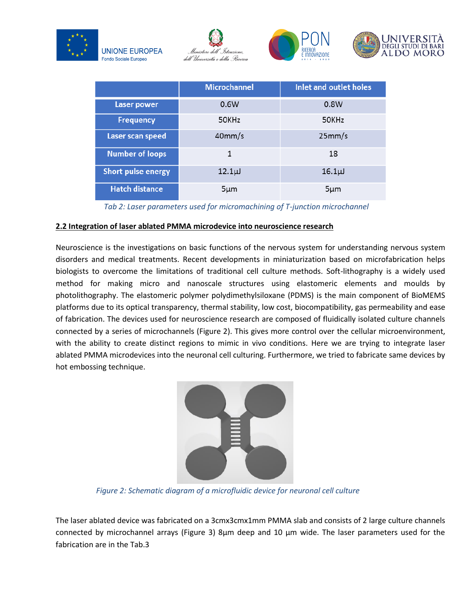





|                           | <b>Microchannel</b> | Inlet and outlet holes |  |
|---------------------------|---------------------|------------------------|--|
| <b>Laser power</b>        | 0.6W                | 0.8W                   |  |
| <b>Frequency</b>          | 50KHz               | 50KHz                  |  |
| Laser scan speed          | 40mm/s              | 25mm/s                 |  |
| <b>Number of loops</b>    | 1                   | 18                     |  |
| <b>Short pulse energy</b> | $12.1 \mu$          | $16.1\mu$              |  |
| <b>Hatch distance</b>     | $5 \mu m$           | $5 \mu m$              |  |

 *Tab 2: Laser parameters used for micromachining of T-junction microchannel*

#### **2.2 Integration of laser ablated PMMA microdevice into neuroscience research**

Neuroscience is the investigations on basic functions of the nervous system for understanding nervous system disorders and medical treatments. Recent developments in miniaturization based on microfabrication helps biologists to overcome the limitations of traditional cell culture methods. Soft-lithography is a widely used method for making micro and nanoscale structures using elastomeric elements and moulds by photolithography. The elastomeric polymer polydimethylsiloxane (PDMS) is the main component of BioMEMS platforms due to its optical transparency, thermal stability, low cost, biocompatibility, gas permeability and ease of fabrication. The devices used for neuroscience research are composed of fluidically isolated culture channels connected by a series of microchannels (Figure 2). This gives more control over the cellular microenvironment, with the ability to create distinct regions to mimic in vivo conditions. Here we are trying to integrate laser ablated PMMA microdevices into the neuronal cell culturing. Furthermore, we tried to fabricate same devices by hot embossing technique.



 *Figure 2: Schematic diagram of a microfluidic device for neuronal cell culture*

The laser ablated device was fabricated on a 3cmx3cmx1mm PMMA slab and consists of 2 large culture channels connected by microchannel arrays (Figure 3) 8µm deep and 10 µm wide. The laser parameters used for the fabrication are in the Tab.3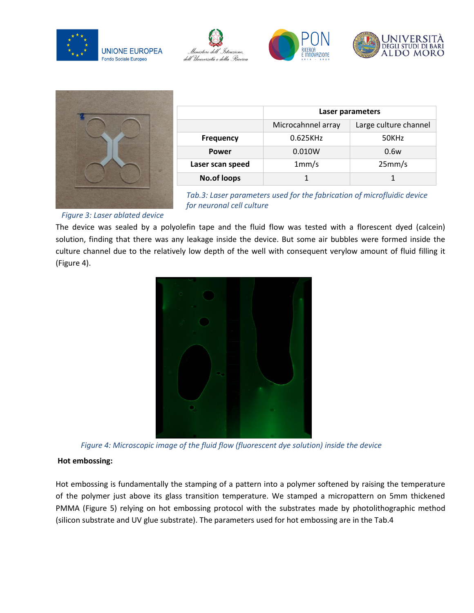







|                    | Laser parameters   |                       |
|--------------------|--------------------|-----------------------|
|                    | Microcahnnel array | Large culture channel |
| <b>Frequency</b>   | 0.625KHz           | 50KHz                 |
| Power              | 0.010W             | 0.6w                  |
| Laser scan speed   | 1mm/s              | 25mm/s                |
| <b>No.of loops</b> |                    |                       |

*Tab.3: Laser parameters used for the fabrication of microfluidic device for neuronal cell culture* 

 *Figure 3: Laser ablated device*

The device was sealed by a polyolefin tape and the fluid flow was tested with a florescent dyed (calcein) solution, finding that there was any leakage inside the device. But some air bubbles were formed inside the culture channel due to the relatively low depth of the well with consequent verylow amount of fluid filling it (Figure 4).



 *Figure 4: Microscopic image of the fluid flow (fluorescent dye solution) inside the device*

#### **Hot embossing:**

Hot embossing is fundamentally the stamping of a pattern into a polymer softened by raising the temperature of the polymer just above its glass transition temperature. We stamped a micropattern on 5mm thickened PMMA (Figure 5) relying on hot embossing protocol with the substrates made by photolithographic method (silicon substrate and UV glue substrate). The parameters used for hot embossing are in the Tab.4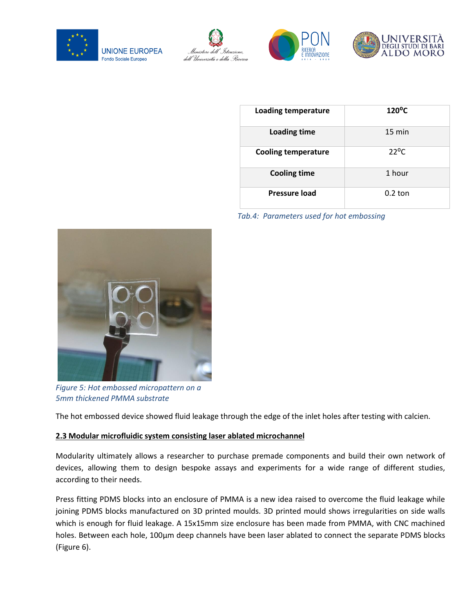





| <b>Loading temperature</b> | $120^{\circ}$ C  |
|----------------------------|------------------|
| Loading time               | $15 \text{ min}$ |
| <b>Cooling temperature</b> | $22^{\circ}$ C   |
| <b>Cooling time</b>        | 1 hour           |
| <b>Pressure load</b>       | $0.2$ ton        |

*Tab.4: Parameters used for hot embossing*



*Figure 5: Hot embossed micropattern on a 5mm thickened PMMA substrate*

The hot embossed device showed fluid leakage through the edge of the inlet holes after testing with calcien.

#### **2.3 Modular microfluidic system consisting laser ablated microchannel**

Modularity ultimately allows a researcher to purchase premade components and build their own network of devices, allowing them to design bespoke assays and experiments for a wide range of different studies, according to their needs.

Press fitting PDMS blocks into an enclosure of PMMA is a new idea raised to overcome the fluid leakage while joining PDMS blocks manufactured on 3D printed moulds. 3D printed mould shows irregularities on side walls which is enough for fluid leakage. A 15x15mm size enclosure has been made from PMMA, with CNC machined holes. Between each hole, 100µm deep channels have been laser ablated to connect the separate PDMS blocks (Figure 6).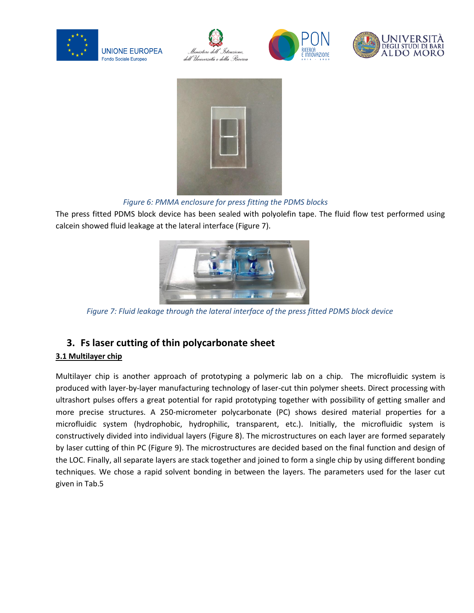









 *Figure 6: PMMA enclosure for press fitting the PDMS blocks*

The press fitted PDMS block device has been sealed with polyolefin tape. The fluid flow test performed using calcein showed fluid leakage at the lateral interface (Figure 7).



 *Figure 7: Fluid leakage through the lateral interface of the press fitted PDMS block device*

# **3. Fs laser cutting of thin polycarbonate sheet**

### **3.1 Multilayer chip**

Multilayer chip is another approach of prototyping a polymeric lab on a chip. The microfluidic system is produced with layer-by-layer manufacturing technology of laser-cut thin polymer sheets. Direct processing with ultrashort pulses offers a great potential for rapid prototyping together with possibility of getting smaller and more precise structures. A 250-micrometer polycarbonate (PC) shows desired material properties for a microfluidic system (hydrophobic, hydrophilic, transparent, etc.). Initially, the microfluidic system is constructively divided into individual layers (Figure 8). The microstructures on each layer are formed separately by laser cutting of thin PC (Figure 9). The microstructures are decided based on the final function and design of the LOC. Finally, all separate layers are stack together and joined to form a single chip by using different bonding techniques. We chose a rapid solvent bonding in between the layers. The parameters used for the laser cut given in Tab.5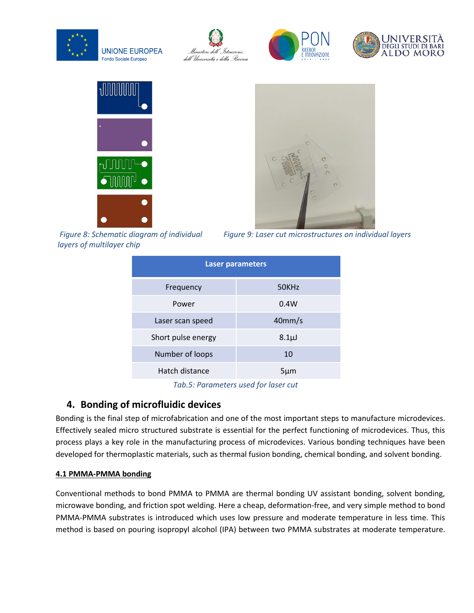











*layers of multilayer chip*

 *Figure 8: Schematic diagram of individual Figure 9: Laser cut microstructures on individual layers*

| <b>Laser parameters</b> |                    |  |
|-------------------------|--------------------|--|
| Frequency               | 50KHz              |  |
| Power                   | 0.4W               |  |
| Laser scan speed        | 40 <sub>mm/s</sub> |  |
| Short pulse energy      | $8.1\mu$           |  |
| Number of loops         | 10                 |  |
| Hatch distance          | $5 \mu m$          |  |

 *Tab.5: Parameters used for laser cut* 

# **4. Bonding of microfluidic devices**

Bonding is the final step of microfabrication and one of the most important steps to manufacture microdevices. Effectively sealed micro structured substrate is essential for the perfect functioning of microdevices. Thus, this process plays a key role in the manufacturing process of microdevices. Various bonding techniques have been developed for thermoplastic materials, such as thermal fusion bonding, chemical bonding, and solvent bonding.

#### **4.1 PMMA-PMMA bonding**

Conventional methods to bond PMMA to PMMA are thermal bonding UV assistant bonding, solvent bonding, microwave bonding, and friction spot welding. Here a cheap, deformation-free, and very simple method to bond PMMA-PMMA substrates is introduced which uses low pressure and moderate temperature in less time. This method is based on pouring isopropyl alcohol (IPA) between two PMMA substrates at moderate temperature.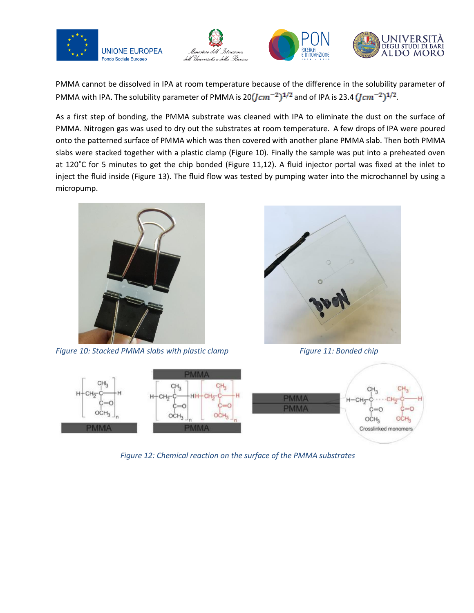







PMMA cannot be dissolved in IPA at room temperature because of the difference in the solubility parameter of PMMA with IPA. The solubility parameter of PMMA is  $20(/cm^{-2})^{1/2}$  and of IPA is 23.4  $(/cm^{-2})^{1/2}$ .

As a first step of bonding, the PMMA substrate was cleaned with IPA to eliminate the dust on the surface of PMMA. Nitrogen gas was used to dry out the substrates at room temperature. A few drops of IPA were poured onto the patterned surface of PMMA which was then covered with another plane PMMA slab. Then both PMMA slabs were stacked together with a plastic clamp (Figure 10). Finally the sample was put into a preheated oven at 120˚C for 5 minutes to get the chip bonded (Figure 11,12). A fluid injector portal was fixed at the inlet to inject the fluid inside (Figure 13). The fluid flow was tested by pumping water into the microchannel by using a micropump.



*Figure 10: Stacked PMMA slabs with plastic clamp* Figure 11: Bonded chip





 *Figure 12: Chemical reaction on the surface of the PMMA substrates*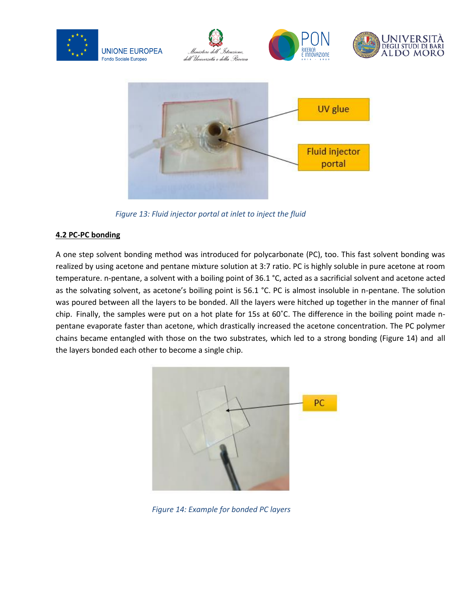







 *Figure 13: Fluid injector portal at inlet to inject the fluid*

#### **4.2 PC-PC bonding**

A one step solvent bonding method was introduced for polycarbonate (PC), too. This fast solvent bonding was realized by using acetone and pentane mixture solution at 3:7 ratio. PC is highly soluble in pure acetone at room temperature. n-pentane, a solvent with a boiling point of 36.1 °C, acted as a sacrificial solvent and acetone acted as the solvating solvent, as acetone's boiling point is 56.1 °C. PC is almost insoluble in n-pentane. The solution was poured between all the layers to be bonded. All the layers were hitched up together in the manner of final chip. Finally, the samples were put on a hot plate for 15s at 60˚C. The difference in the boiling point made npentane evaporate faster than acetone, which drastically increased the acetone concentration. The PC polymer chains became entangled with those on the two substrates, which led to a strong bonding (Figure 14) and all the layers bonded each other to become a single chip.



 *Figure 14: Example for bonded PC layers*